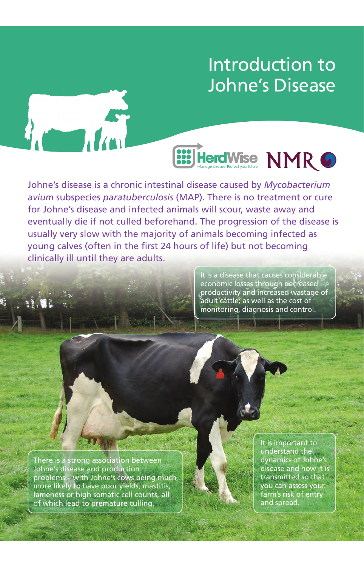# Introduction to Johne's Disease

**833 Herd Wise NMR 6** 

Johne's disease is a chronic intestinal disease caused by *Mycobacterium avium* subspecies *paratuberculosis* (MAP). There is no treatment or cure for Johne's disease and infected animals will scour, waste away and eventually die if not culled beforehand. The progression of the disease is usually very slow with the majority of animals becoming infected as young calves (often in the first 24 hours of life) but not becoming clinically ill until they are adults.

> It is a disease that causes considerable economic losses through decreased productivity and increased wastage of adult cattle; as well as the cost of monitoring, diagnosis and control.

There is a strong association between Johne's disease and production problems – with Johne's cows being much more likely to have poor yields, mastitis, lameness or high somatic cell counts, all of which lead to premature culling.

It is important to understand the dynamics of Johne's disease and how it is transmitted so that you can assess your farm's risk of entry and spread.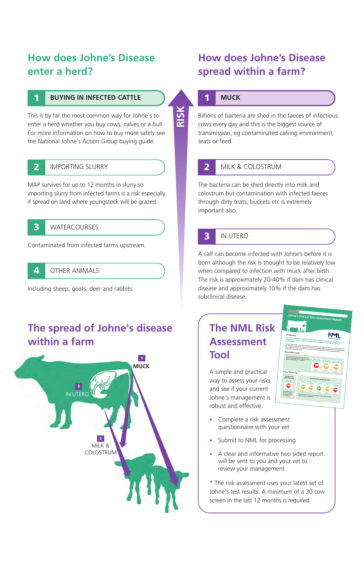## **How does Johne's Disease enter a herd?**

### 1/ **BUYING IN INFECTED CATTLE**

This is by far the most common way for Johne's to enter a herd whether you buy cows, calves or a bull. For more information on how to buy more safely see the National Johne's Action Group buying guide.

#### IMPORTING SLURRY **2**

**1**

MAP survives for up to 12 months in slurry so importing slurry from infected farms is a risk especially if spread on land where youngstock will be grazed.

**WATERCOURSES 3**

Contaminated from infected farms upstream.

#### **OTHER ANIMALS 4**

Including sheep, goats, deer and rabbits.

## **The spread of Johne's disease within a farm**



## **How does Johne's Disease spread within a farm?**

#### 1/ **MUCK 1**

Billions of bacteria are shed in the faeces of infectious cows every day and this is the biggest source of transmission, eg contaminated calving environment, teats or feed.

### **2**

**RISK**

### MILK & COLOSTRUM

The bacteria can be shed directly into milk and colostrum but contamination with infected faeces through dirty teats, buckets etc is extremely important also.



### **IN UTERO**

A calf can become infected with Johne's before it is born although the risk is thought to be relatively low when compared to infection with muck after birth. The risk is approximately 20-40% if dam has clinical disease and approximately 10% if the dam has subclinical disease.

## **The NML Risk Assessment Tool**

A simple and practical way to assess your risks and see if your current Johne's management is robust and effective.

- **ML**
- Complete a risk assessment questionnaire with your vet
- Submit to NML for processing
- A clear and informative two sided report will be sent to you and your vet to review your management

\* The risk assessment uses your latest set of Johne's test results. A minimum of a 30 cow screen in the last 12 months is required.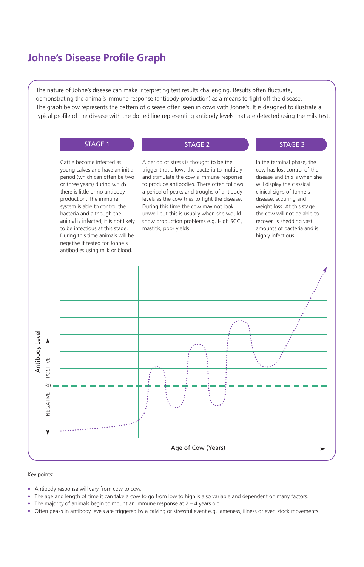### **Johne's Disease Profile Graph**

The nature of Johne's disease can make interpreting test results challenging. Results often fluctuate, demonstrating the animal's immune response (antibody production) as a means to fight off the disease. The graph below represents the pattern of disease often seen in cows with Johne's. It is designed to illustrate a typical profile of the disease with the dotted line representing antibody levels that are detected using the milk test.

#### STAGE 1 STAGE 2 STAGE 2 STAGE 3

Cattle become infected as young calves and have an initial period (which can often be two or three years) during which there is little or no antibody production. The immune system is able to control the bacteria and although the animal is infected, it is not likely to be infectious at this stage. During this time animals will be negative if tested for Johne's antibodies using milk or blood.

A period of stress is thought to be the trigger that allows the bacteria to multiply and stimulate the cow's immune response to produce antibodies. There often follows a period of peaks and troughs of antibody levels as the cow tries to fight the disease. During this time the cow may not look unwell but this is usually when she would show production problems e.g. High SCC, mastitis, poor yields.

In the terminal phase, the cow has lost control of the disease and this is when she will display the classical clinical signs of Johne's disease; scouring and weight loss. At this stage the cow will not be able to recover, is shedding vast amounts of bacteria and is highly infectious.



Key points:

- Antibody response will vary from cow to cow.
- The age and length of time it can take a cow to go from low to high is also variable and dependent on many factors.
- The majority of animals begin to mount an immune response at  $2 4$  years old.
- Often peaks in antibody levels are triggered by a calving or stressful event e.g. lameness, illness or even stock movements.